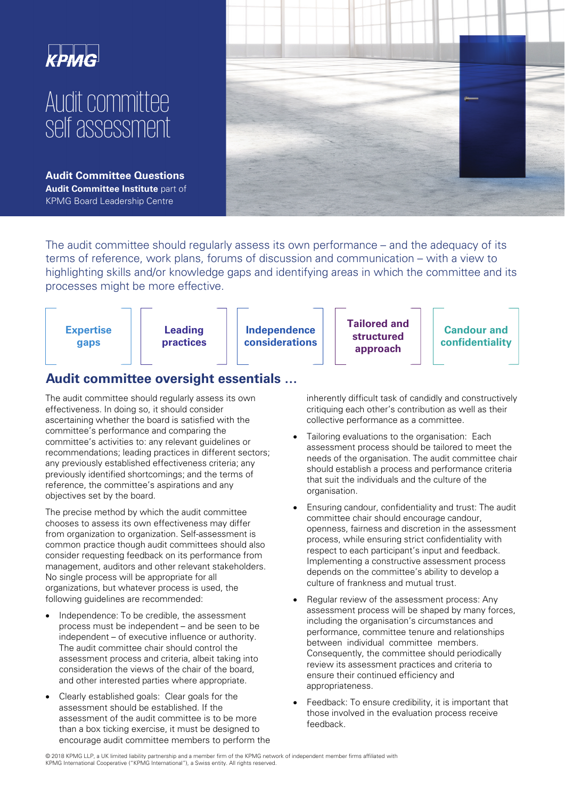

**Audit Committee Questions Audit Committee Institute** part of KPMG Board Leadership Centre



The audit committee should regularly assess its own performance – and the adequacy of its terms of reference, work plans, forums of discussion and communication – with a view to highlighting skills and/or knowledge gaps and identifying areas in which the committee and its processes might be more effective.



# **Audit committee oversight essentials …**

The audit committee should regularly assess its own effectiveness. In doing so, it should consider ascertaining whether the board is satisfied with the committee's performance and comparing the committee's activities to: any relevant guidelines or recommendations; leading practices in different sectors; any previously established effectiveness criteria; any previously identified shortcomings; and the terms of reference, the committee's aspirations and any objectives set by the board.

The precise method by which the audit committee chooses to assess its own effectiveness may differ from organization to organization. Self-assessment is common practice though audit committees should also consider requesting feedback on its performance from management, auditors and other relevant stakeholders. No single process will be appropriate for all organizations, but whatever process is used, the following guidelines are recommended:

- Independence: To be credible, the assessment process must be independent – and be seen to be independent – of executive influence or authority. The audit committee chair should control the assessment process and criteria, albeit taking into consideration the views of the chair of the board, and other interested parties where appropriate.
- Clearly established goals: Clear goals for the assessment should be established. If the assessment of the audit committee is to be more than a box ticking exercise, it must be designed to encourage audit committee members to perform the

inherently difficult task of candidly and constructively critiquing each other's contribution as well as their collective performance as a committee.

- Tailoring evaluations to the organisation: Each assessment process should be tailored to meet the needs of the organisation. The audit committee chair should establish a process and performance criteria that suit the individuals and the culture of the organisation.
- Ensuring candour, confidentiality and trust: The audit committee chair should encourage candour, openness, fairness and discretion in the assessment process, while ensuring strict confidentiality with respect to each participant's input and feedback. Implementing a constructive assessment process depends on the committee's ability to develop a culture of frankness and mutual trust.
- Regular review of the assessment process: Any assessment process will be shaped by many forces, including the organisation's circumstances and performance, committee tenure and relationships between individual committee members. Consequently, the committee should periodically review its assessment practices and criteria to ensure their continued efficiency and appropriateness.
- Feedback: To ensure credibility, it is important that those involved in the evaluation process receive feedback.

 © 2018 KPMG LLP, a UK limited liability partnership and a member firm of the KPMG network of independent member firms affiliated with KPMG International Cooperative ("KPMG International"), a Swiss entity. All rights reserved.